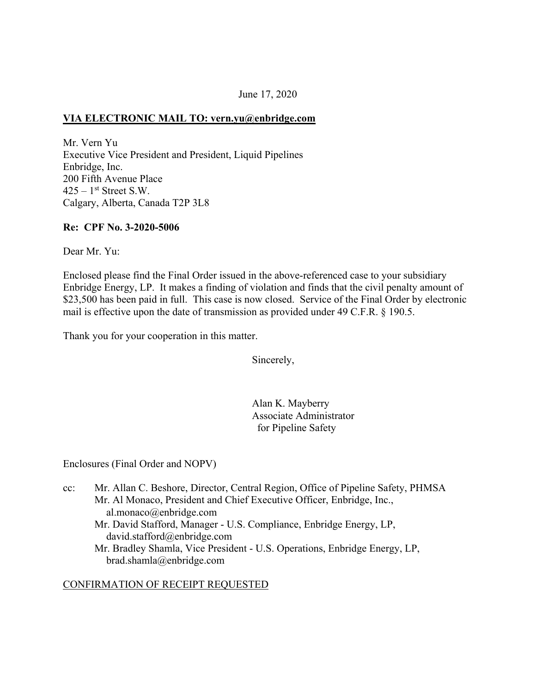# June 17, 2020

### **VIA ELECTRONIC MAIL TO: [vern.yu@enbridge.com](mailto:vern.yu@enbridge.com)**

Mr. Vern Yu Executive Vice President and President, Liquid Pipelines Enbridge, Inc. 200 Fifth Avenue Place  $425 - 1$ <sup>st</sup> Street S.W. Calgary, Alberta, Canada T2P 3L8

### **Re: CPF No. 3-2020-5006**

Dear Mr. Yu:

Enclosed please find the Final Order issued in the above-referenced case to your subsidiary Enbridge Energy, LP. It makes a finding of violation and finds that the civil penalty amount of \$23,500 has been paid in full. This case is now closed. Service of the Final Order by electronic mail is effective upon the date of transmission as provided under 49 C.F.R. § 190.5.

Thank you for your cooperation in this matter.

Sincerely,

Alan K. Mayberry Associate Administrator for Pipeline Safety

Enclosures (Final Order and NOPV)

cc: Mr. Allan C. Beshore, Director, Central Region, Office of Pipeline Safety, PHMSA Mr. Al Monaco, President and Chief Executive Officer, Enbridge, Inc., [al.monaco@enbridge.com](mailto:al.monaco@enbridge.com)  Mr. David Stafford, Manager - U.S. Compliance, Enbridge Energy, LP, [david.stafford@enbridge.com](mailto:david.stafford@enbridge.com) Mr. Bradley Shamla, Vice President - U.S. Operations, Enbridge Energy, LP, [brad.shamla@enbridge.com](mailto:brad.shamla@enbridge.com) 

### CONFIRMATION OF RECEIPT REQUESTED